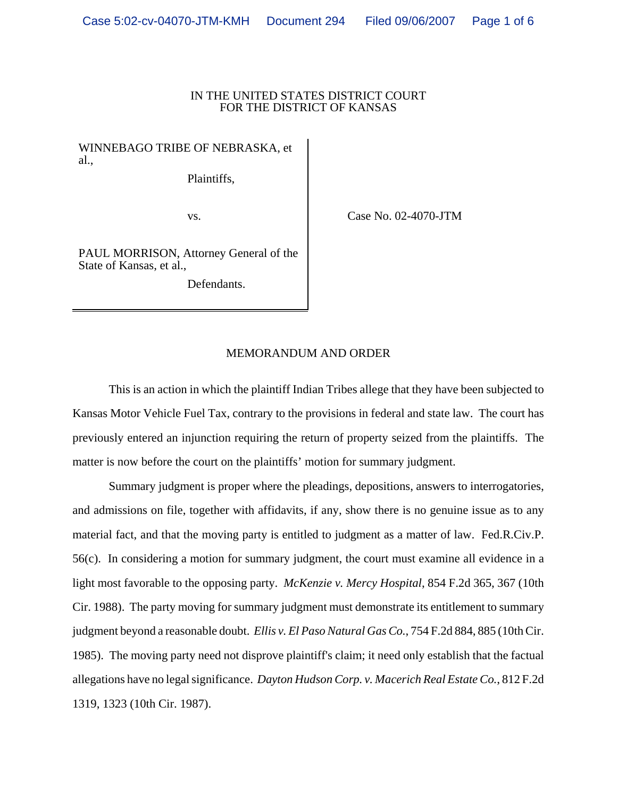## IN THE UNITED STATES DISTRICT COURT FOR THE DISTRICT OF KANSAS

## WINNEBAGO TRIBE OF NEBRASKA, et al.,

Plaintiffs,

vs. Case No. 02-4070-JTM

PAUL MORRISON, Attorney General of the State of Kansas, et al.,

Defendants.

## MEMORANDUM AND ORDER

This is an action in which the plaintiff Indian Tribes allege that they have been subjected to Kansas Motor Vehicle Fuel Tax, contrary to the provisions in federal and state law. The court has previously entered an injunction requiring the return of property seized from the plaintiffs. The matter is now before the court on the plaintiffs' motion for summary judgment.

Summary judgment is proper where the pleadings, depositions, answers to interrogatories, and admissions on file, together with affidavits, if any, show there is no genuine issue as to any material fact, and that the moving party is entitled to judgment as a matter of law. Fed.R.Civ.P. 56(c). In considering a motion for summary judgment, the court must examine all evidence in a light most favorable to the opposing party. *McKenzie v. Mercy Hospital*, 854 F.2d 365, 367 (10th Cir. 1988). The party moving for summary judgment must demonstrate its entitlement to summary judgment beyond a reasonable doubt. *Ellis v. El Paso Natural Gas Co.*, 754 F.2d 884, 885 (10th Cir. 1985). The moving party need not disprove plaintiff's claim; it need only establish that the factual allegations have no legal significance. *Dayton Hudson Corp. v. Macerich Real Estate Co.*, 812 F.2d 1319, 1323 (10th Cir. 1987).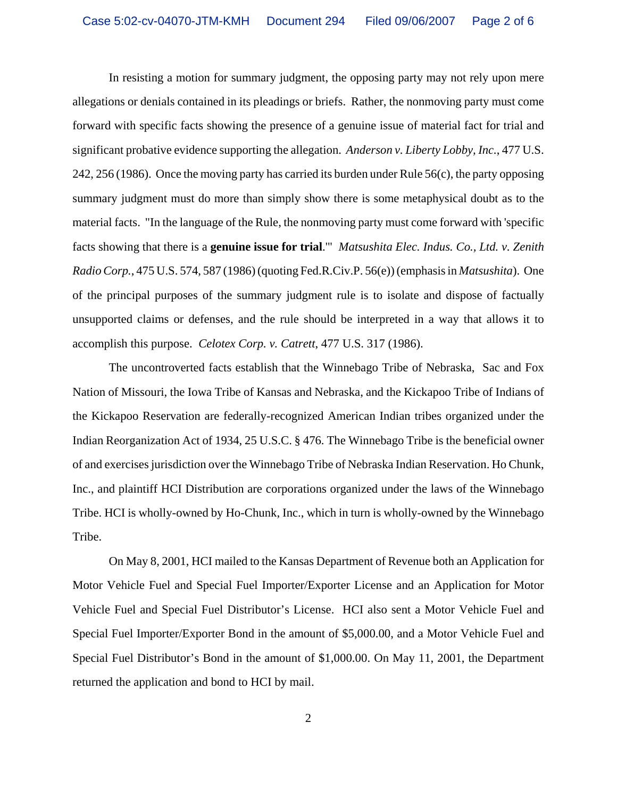In resisting a motion for summary judgment, the opposing party may not rely upon mere allegations or denials contained in its pleadings or briefs. Rather, the nonmoving party must come forward with specific facts showing the presence of a genuine issue of material fact for trial and significant probative evidence supporting the allegation. *Anderson v. Liberty Lobby, Inc.*, 477 U.S. 242, 256 (1986). Once the moving party has carried its burden under Rule 56(c), the party opposing summary judgment must do more than simply show there is some metaphysical doubt as to the material facts. "In the language of the Rule, the nonmoving party must come forward with 'specific facts showing that there is a **genuine issue for trial**.'" *Matsushita Elec. Indus. Co., Ltd. v. Zenith Radio Corp.*, 475 U.S. 574, 587 (1986) (quoting Fed.R.Civ.P. 56(e)) (emphasis in *Matsushita*). One of the principal purposes of the summary judgment rule is to isolate and dispose of factually unsupported claims or defenses, and the rule should be interpreted in a way that allows it to accomplish this purpose. *Celotex Corp. v. Catrett*, 477 U.S. 317 (1986).

The uncontroverted facts establish that the Winnebago Tribe of Nebraska, Sac and Fox Nation of Missouri, the Iowa Tribe of Kansas and Nebraska, and the Kickapoo Tribe of Indians of the Kickapoo Reservation are federally-recognized American Indian tribes organized under the Indian Reorganization Act of 1934, 25 U.S.C. § 476. The Winnebago Tribe is the beneficial owner of and exercises jurisdiction over the Winnebago Tribe of Nebraska Indian Reservation. Ho Chunk, Inc., and plaintiff HCI Distribution are corporations organized under the laws of the Winnebago Tribe. HCI is wholly-owned by Ho-Chunk, Inc., which in turn is wholly-owned by the Winnebago Tribe.

On May 8, 2001, HCI mailed to the Kansas Department of Revenue both an Application for Motor Vehicle Fuel and Special Fuel Importer/Exporter License and an Application for Motor Vehicle Fuel and Special Fuel Distributor's License. HCI also sent a Motor Vehicle Fuel and Special Fuel Importer/Exporter Bond in the amount of \$5,000.00, and a Motor Vehicle Fuel and Special Fuel Distributor's Bond in the amount of \$1,000.00. On May 11, 2001, the Department returned the application and bond to HCI by mail.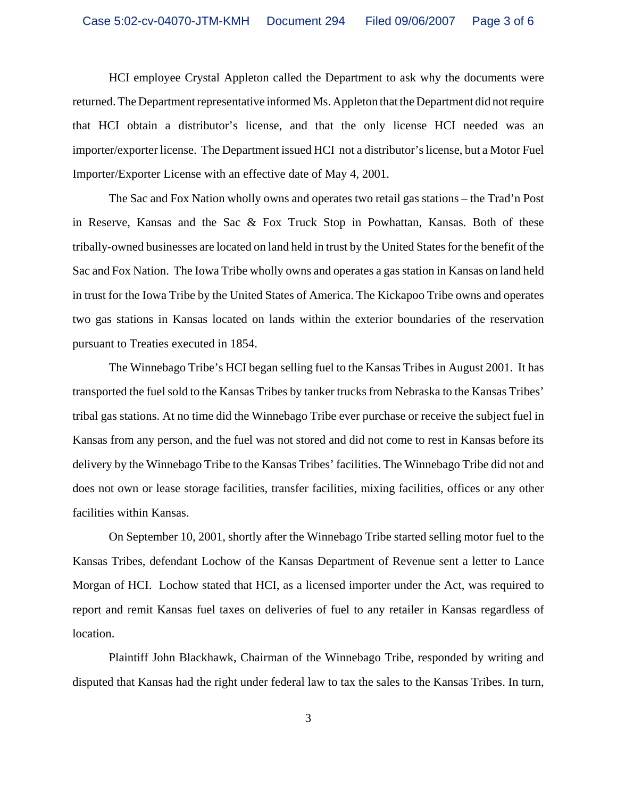HCI employee Crystal Appleton called the Department to ask why the documents were returned. The Department representative informed Ms. Appleton that the Department did not require that HCI obtain a distributor's license, and that the only license HCI needed was an importer/exporter license. The Department issued HCI not a distributor's license, but a Motor Fuel Importer/Exporter License with an effective date of May 4, 2001.

The Sac and Fox Nation wholly owns and operates two retail gas stations – the Trad'n Post in Reserve, Kansas and the Sac & Fox Truck Stop in Powhattan, Kansas. Both of these tribally-owned businesses are located on land held in trust by the United States for the benefit of the Sac and Fox Nation. The Iowa Tribe wholly owns and operates a gas station in Kansas on land held in trust for the Iowa Tribe by the United States of America. The Kickapoo Tribe owns and operates two gas stations in Kansas located on lands within the exterior boundaries of the reservation pursuant to Treaties executed in 1854.

The Winnebago Tribe's HCI began selling fuel to the Kansas Tribes in August 2001. It has transported the fuel sold to the Kansas Tribes by tanker trucks from Nebraska to the Kansas Tribes' tribal gas stations. At no time did the Winnebago Tribe ever purchase or receive the subject fuel in Kansas from any person, and the fuel was not stored and did not come to rest in Kansas before its delivery by the Winnebago Tribe to the Kansas Tribes' facilities. The Winnebago Tribe did not and does not own or lease storage facilities, transfer facilities, mixing facilities, offices or any other facilities within Kansas.

On September 10, 2001, shortly after the Winnebago Tribe started selling motor fuel to the Kansas Tribes, defendant Lochow of the Kansas Department of Revenue sent a letter to Lance Morgan of HCI. Lochow stated that HCI, as a licensed importer under the Act, was required to report and remit Kansas fuel taxes on deliveries of fuel to any retailer in Kansas regardless of location.

Plaintiff John Blackhawk, Chairman of the Winnebago Tribe, responded by writing and disputed that Kansas had the right under federal law to tax the sales to the Kansas Tribes. In turn,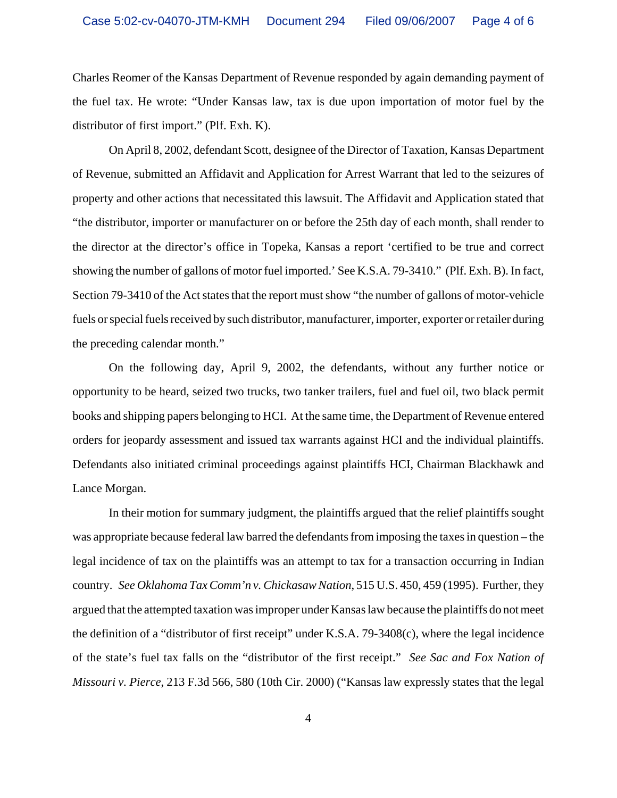Charles Reomer of the Kansas Department of Revenue responded by again demanding payment of the fuel tax. He wrote: "Under Kansas law, tax is due upon importation of motor fuel by the distributor of first import." (Plf. Exh. K).

On April 8, 2002, defendant Scott, designee of the Director of Taxation, Kansas Department of Revenue, submitted an Affidavit and Application for Arrest Warrant that led to the seizures of property and other actions that necessitated this lawsuit. The Affidavit and Application stated that "the distributor, importer or manufacturer on or before the 25th day of each month, shall render to the director at the director's office in Topeka, Kansas a report 'certified to be true and correct showing the number of gallons of motor fuel imported.' See K.S.A. 79-3410." (Plf. Exh. B). In fact, Section 79-3410 of the Act states that the report must show "the number of gallons of motor-vehicle fuels or special fuels received by such distributor, manufacturer, importer, exporter or retailer during the preceding calendar month."

On the following day, April 9, 2002, the defendants, without any further notice or opportunity to be heard, seized two trucks, two tanker trailers, fuel and fuel oil, two black permit books and shipping papers belonging to HCI. At the same time, the Department of Revenue entered orders for jeopardy assessment and issued tax warrants against HCI and the individual plaintiffs. Defendants also initiated criminal proceedings against plaintiffs HCI, Chairman Blackhawk and Lance Morgan.

In their motion for summary judgment, the plaintiffs argued that the relief plaintiffs sought was appropriate because federal law barred the defendants from imposing the taxes in question – the legal incidence of tax on the plaintiffs was an attempt to tax for a transaction occurring in Indian country. *See Oklahoma Tax Comm'n v. Chickasaw Nation*, 515 U.S. 450, 459 (1995). Further, they argued that the attempted taxation was improper under Kansas law because the plaintiffs do not meet the definition of a "distributor of first receipt" under K.S.A. 79-3408(c), where the legal incidence of the state's fuel tax falls on the "distributor of the first receipt." *See Sac and Fox Nation of Missouri v. Pierce*, 213 F.3d 566, 580 (10th Cir. 2000) ("Kansas law expressly states that the legal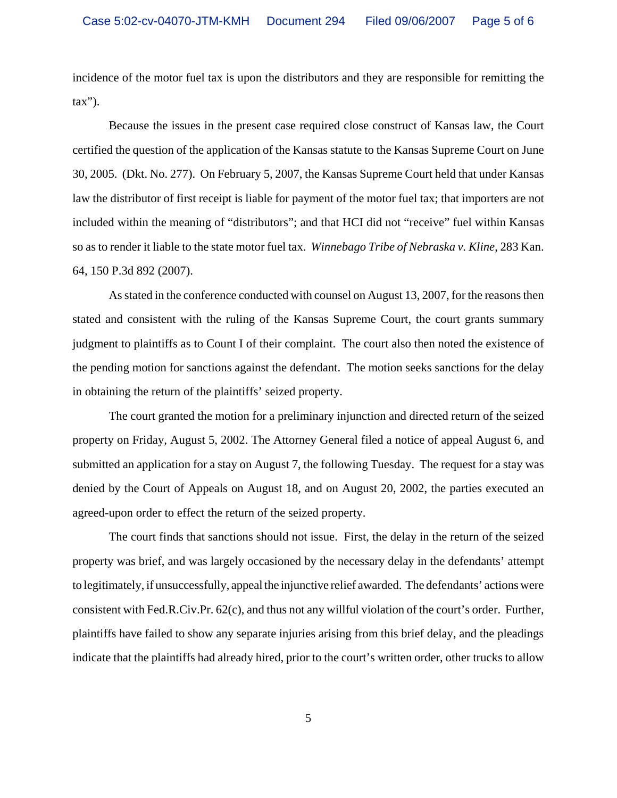incidence of the motor fuel tax is upon the distributors and they are responsible for remitting the  $\text{tax}$ ").

Because the issues in the present case required close construct of Kansas law, the Court certified the question of the application of the Kansas statute to the Kansas Supreme Court on June 30, 2005. (Dkt. No. 277). On February 5, 2007, the Kansas Supreme Court held that under Kansas law the distributor of first receipt is liable for payment of the motor fuel tax; that importers are not included within the meaning of "distributors"; and that HCI did not "receive" fuel within Kansas so as to render it liable to the state motor fuel tax. *Winnebago Tribe of Nebraska v. Kline*, 283 Kan. 64, 150 P.3d 892 (2007).

As stated in the conference conducted with counsel on August 13, 2007, for the reasons then stated and consistent with the ruling of the Kansas Supreme Court, the court grants summary judgment to plaintiffs as to Count I of their complaint. The court also then noted the existence of the pending motion for sanctions against the defendant. The motion seeks sanctions for the delay in obtaining the return of the plaintiffs' seized property.

The court granted the motion for a preliminary injunction and directed return of the seized property on Friday, August 5, 2002. The Attorney General filed a notice of appeal August 6, and submitted an application for a stay on August 7, the following Tuesday. The request for a stay was denied by the Court of Appeals on August 18, and on August 20, 2002, the parties executed an agreed-upon order to effect the return of the seized property.

The court finds that sanctions should not issue. First, the delay in the return of the seized property was brief, and was largely occasioned by the necessary delay in the defendants' attempt to legitimately, if unsuccessfully, appeal the injunctive relief awarded. The defendants' actions were consistent with Fed.R.Civ.Pr. 62(c), and thus not any willful violation of the court's order. Further, plaintiffs have failed to show any separate injuries arising from this brief delay, and the pleadings indicate that the plaintiffs had already hired, prior to the court's written order, other trucks to allow